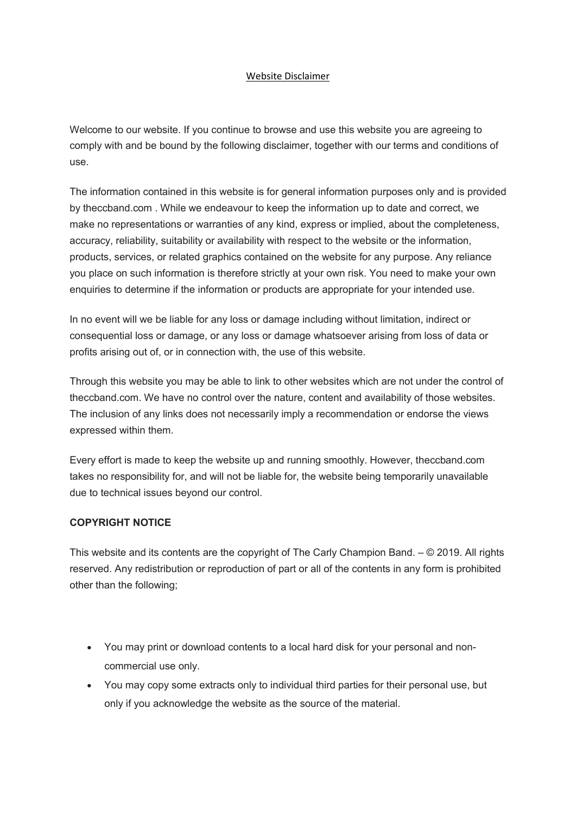## Website Disclaimer

Welcome to our website. If you continue to browse and use this website you are agreeing to comply with and be bound by the following disclaimer, together with our terms and conditions of use.

The information contained in this website is for general information purposes only and is provided by theccband.com . While we endeavour to keep the information up to date and correct, we make no representations or warranties of any kind, express or implied, about the completeness, accuracy, reliability, suitability or availability with respect to the website or the information, products, services, or related graphics contained on the website for any purpose. Any reliance you place on such information is therefore strictly at your own risk. You need to make your own enquiries to determine if the information or products are appropriate for your intended use.

In no event will we be liable for any loss or damage including without limitation, indirect or consequential loss or damage, or any loss or damage whatsoever arising from loss of data or profits arising out of, or in connection with, the use of this website.

Through this website you may be able to link to other websites which are not under the control of theccband.com. We have no control over the nature, content and availability of those websites. The inclusion of any links does not necessarily imply a recommendation or endorse the views expressed within them.

Every effort is made to keep the website up and running smoothly. However, theccband.com takes no responsibility for, and will not be liable for, the website being temporarily unavailable due to technical issues beyond our control.

## **COPYRIGHT NOTICE**

This website and its contents are the copyright of The Carly Champion Band. – © 2019. All rights reserved. Any redistribution or reproduction of part or all of the contents in any form is prohibited other than the following;

- You may print or download contents to a local hard disk for your personal and noncommercial use only.
- You may copy some extracts only to individual third parties for their personal use, but only if you acknowledge the website as the source of the material.